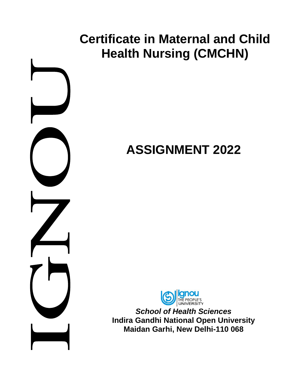# **Certificate in Maternal and Child Health Nursing (CMCHN) ASSIGNMENT 2022** *School of Health Sciences* **Indira Gandhi National Open University Maidan Garhi, New Delhi-110 068**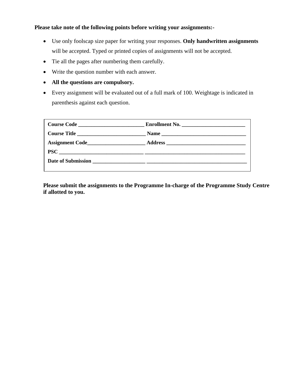# **Please take note of the following points before writing your assignments:-**

- Use only foolscap size paper for writing your responses. **Only handwritten assignments**  will be accepted. Typed or printed copies of assignments will not be accepted.
- Tie all the pages after numbering them carefully.
- Write the question number with each answer.
- **All the questions are compulsory.**
- Every assignment will be evaluated out of a full mark of 100. Weightage is indicated in parenthesis against each question.

|                             | Enrollment No. |
|-----------------------------|----------------|
| Course Title                |                |
|                             |                |
| $\text{PSC} \_\_\_\_\_\_\_$ |                |
|                             |                |
|                             |                |

**Please submit the assignments to the Programme In-charge of the Programme Study Centre if allotted to you.**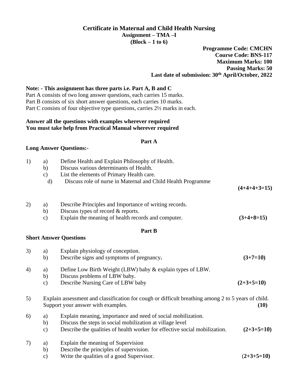# **Certificate in Maternal and Child Health Nursing Assignment – TMA –I (Block – 1 to 6)**

# **Programme Code: CMCHN Course Code: BNS-117 Maximum Marks: 100 Passing Marks: 50 Last date of submission: 30th April/October, 2022**

### **Note: - This assignment has three parts i.e. Part A, B and C**

Part A consists of two long answer questions, each carries 15 marks. Part B consists of six short answer questions, each carries 10 marks. Part C consists of four objective type questions, carries 2½ marks in each.

#### **Answer all the questions with examples wherever required You must take help from Practical Manual wherever required**

#### **Part A**

#### **Long Answer Questions:-**

| 1) | a)<br>b)<br>$\mathbf{c})$<br>$\mathbf{d}$ | Define Health and Explain Philosophy of Health.<br>Discuss various determinants of Health.<br>List the elements of Primary Health care.<br>Discuss role of nurse in Maternal and Child Health Programme | $(4+4+4+3=15)$ |
|----|-------------------------------------------|---------------------------------------------------------------------------------------------------------------------------------------------------------------------------------------------------------|----------------|
| 2) | a)<br>b)<br>$\mathbf{c})$                 | Describe Principles and Importance of writing records.<br>Discuss types of record $&$ reports.<br>Explain the meaning of health records and computer.                                                   | $(3+4+8=15)$   |
|    |                                           | Part B                                                                                                                                                                                                  |                |
|    |                                           | <b>Short Answer Questions</b>                                                                                                                                                                           |                |
| 3) | a)<br>b)                                  | Explain physiology of conception.<br>Describe signs and symptoms of pregnancy.                                                                                                                          | $(3+7=10)$     |
| 4) | a)<br>b)<br>$\mathbf{c})$                 | Define Low Birth Weight (LBW) baby & explain types of LBW.<br>Discuss problems of LBW baby.<br>Describe Nursing Care of LBW baby                                                                        | $(2+3+5=10)$   |
| 5) |                                           | Explain assessment and classification for cough or difficult breathing among 2 to 5 years of child.<br>Support your answer with examples.                                                               | (10)           |
| 6) | a)<br>b)<br>$\mathbf{c})$                 | Explain meaning, importance and need of social mobilization.<br>Discuss the steps in social mobilization at village level<br>Describe the qualities of health worker for effective social mobilization. | $(2+3+5=10)$   |
| 7) | a)<br>$\mathbf{b}$<br>$\mathbf{c})$       | Explain the meaning of Supervision<br>Describe the principles of supervision.<br>Write the qualities of a good Supervisor.                                                                              | $(2+3+5=10)$   |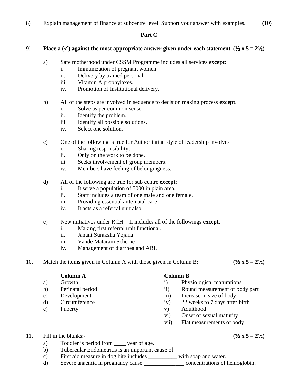8) Explain management of finance at subcentre level. Support your answer with examples. **(**10**)**

## **Part C**

# 9) **Place a**  $(\checkmark)$  against the most appropriate answer given under each statement  $(\frac{1}{2} \times 5 = 2\frac{1}{2})$

- a) Safe motherhood under CSSM Programme includes all services **except**:
	- i. Immunization of pregnant women.
	- ii. Delivery by trained personal.
	- iii. Vitamin A prophylaxes.
	- iv. Promotion of Institutional delivery.
- b) All of the steps are involved in sequence to decision making process **except**.
	- i. Solve as per common sense.
	- ii. Identify the problem.
	- iii. Identify all possible solutions.
	- iv. Select one solution.
- c) One of the following is true for Authoritarian style of leadership involves
	- i. Sharing responsibility.
	- ii. Only on the work to be done.
	- iii. Seeks involvement of group members.
	- iv. Members have feeling of belongingness.
- d) All of the following are true for sub centre **except**:
	- i. It serve a population of 5000 in plain area.
	- ii. Staff includes a team of one male and one female.
	- iii. Providing essential ante-natal care
	- iv. It acts as a referral unit also.
- e) New initiatives under RCH II includes all of the followings **except**:
	- i. Making first referral unit functional.
	- ii. Janani Suraksha Yojana
	- iii. Vande Mataram Scheme
	- iv. Management of diarrhea and ARI.
- 10. Match the items given in Column A with those given in Column B: **(**½ **x 5 = 2**½)

**Column A Column B**

- 
- 
- 
- 
- 

- a) Growth i) Physiological maturations
- b) Perinatal period ii) Round measurement of body part
- c) Development iii) Increase in size of body
- d) Circumference iv) 22 weeks to 7 days after birth
- e) Puberty v) Adulthood
	- vi) Onset of sexual maturity
	- vii) Flat measurements of body

# 11. Fill in the blanks:-  $(1/2 \times 5 = 21/2)$

- a) Toddler is period from \_\_\_\_\_ year of age.
- b) Tubercular Endometritis is an important cause of
- c) First aid measure in dog bite includes \_\_\_\_\_\_\_\_\_\_ with soap and water.
- d) Severe anaemia in pregnancy cause concentrations of hemoglobin.